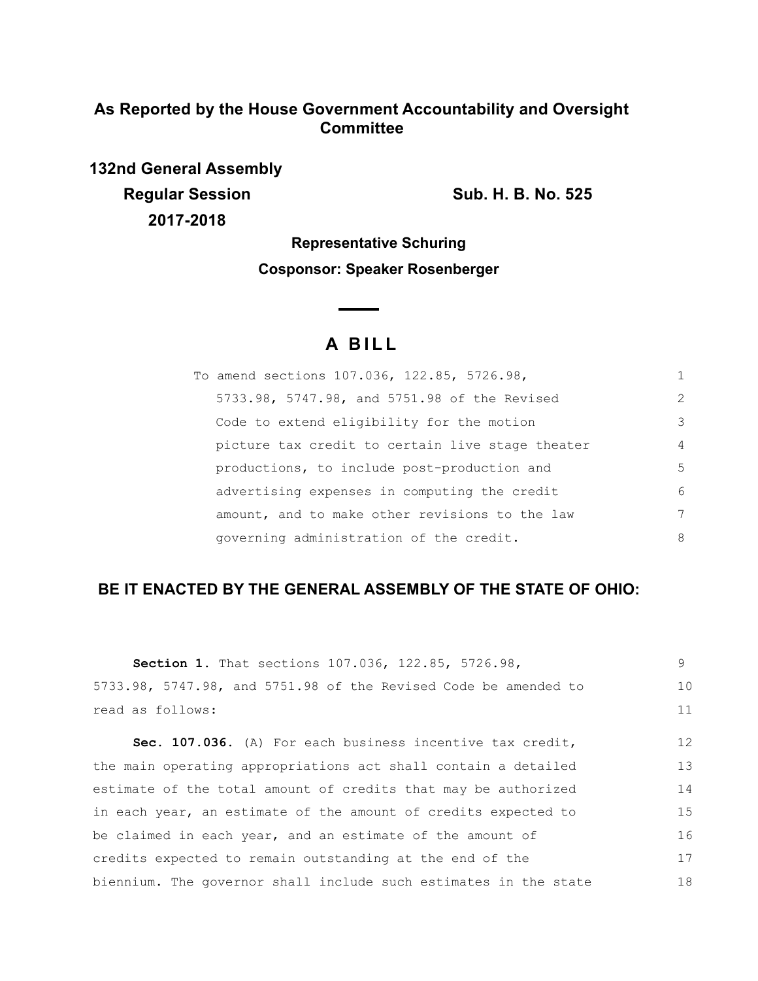## **As Reported by the House Government Accountability and Oversight Committee**

**132nd General Assembly Regular Session Sub. H. B. No. 525 2017-2018**

**Representative Schuring**

**Cosponsor: Speaker Rosenberger**

# **A BILL**

<u> The Common State of the Common Sta</u>

| To amend sections 107.036, 122.85, 5726.98,      |                |
|--------------------------------------------------|----------------|
| 5733.98, 5747.98, and 5751.98 of the Revised     | $\mathcal{L}$  |
| Code to extend eligibility for the motion        | 3              |
| picture tax credit to certain live stage theater | $\overline{4}$ |
| productions, to include post-production and      | 5              |
| advertising expenses in computing the credit     | 6              |
| amount, and to make other revisions to the law   | 7              |
| governing administration of the credit.          | 8              |

# **BE IT ENACTED BY THE GENERAL ASSEMBLY OF THE STATE OF OHIO:**

| Section 1. That sections 107.036, 122.85, 5726.98,               | 9  |
|------------------------------------------------------------------|----|
| 5733.98, 5747.98, and 5751.98 of the Revised Code be amended to  | 10 |
| read as follows:                                                 | 11 |
| Sec. 107.036. (A) For each business incentive tax credit,        | 12 |
| the main operating appropriations act shall contain a detailed   | 13 |
| estimate of the total amount of credits that may be authorized   | 14 |
| in each year, an estimate of the amount of credits expected to   | 15 |
| be claimed in each year, and an estimate of the amount of        | 16 |
| credits expected to remain outstanding at the end of the         | 17 |
| biennium. The governor shall include such estimates in the state | 18 |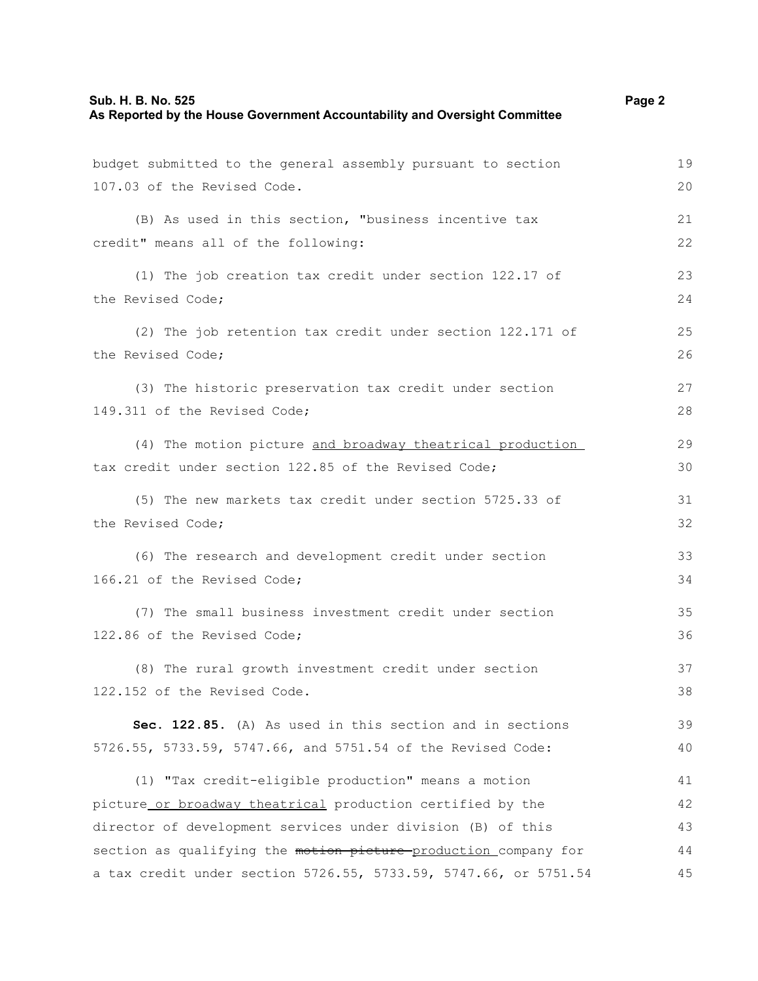| Sub. H. B. No. 525                                                         | Page 2 |
|----------------------------------------------------------------------------|--------|
| As Reported by the House Government Accountability and Oversight Committee |        |

| budget submitted to the general assembly pursuant to section     | 19 |
|------------------------------------------------------------------|----|
| 107.03 of the Revised Code.                                      | 20 |
|                                                                  |    |
| (B) As used in this section, "business incentive tax             | 21 |
| credit" means all of the following:                              | 22 |
|                                                                  |    |
| (1) The job creation tax credit under section 122.17 of          | 23 |
| the Revised Code;                                                | 24 |
| (2) The job retention tax credit under section 122.171 of        | 25 |
| the Revised Code;                                                | 26 |
|                                                                  |    |
| (3) The historic preservation tax credit under section           | 27 |
| 149.311 of the Revised Code;                                     | 28 |
| (4) The motion picture and broadway theatrical production        | 29 |
| tax credit under section 122.85 of the Revised Code;             | 30 |
|                                                                  |    |
| (5) The new markets tax credit under section 5725.33 of          | 31 |
| the Revised Code;                                                | 32 |
| (6) The research and development credit under section            | 33 |
| 166.21 of the Revised Code;                                      | 34 |
|                                                                  |    |
| (7) The small business investment credit under section           | 35 |
| 122.86 of the Revised Code;                                      | 36 |
| (8) The rural growth investment credit under section             | 37 |
| 122.152 of the Revised Code.                                     |    |
|                                                                  | 38 |
| Sec. 122.85. (A) As used in this section and in sections         | 39 |
| 5726.55, 5733.59, 5747.66, and 5751.54 of the Revised Code:      | 40 |
|                                                                  | 41 |
| (1) "Tax credit-eligible production" means a motion              |    |
| picture or broadway theatrical production certified by the       | 42 |
| director of development services under division (B) of this      | 43 |
| section as qualifying the motion picture-production_company for  | 44 |
| a tax credit under section 5726.55, 5733.59, 5747.66, or 5751.54 | 45 |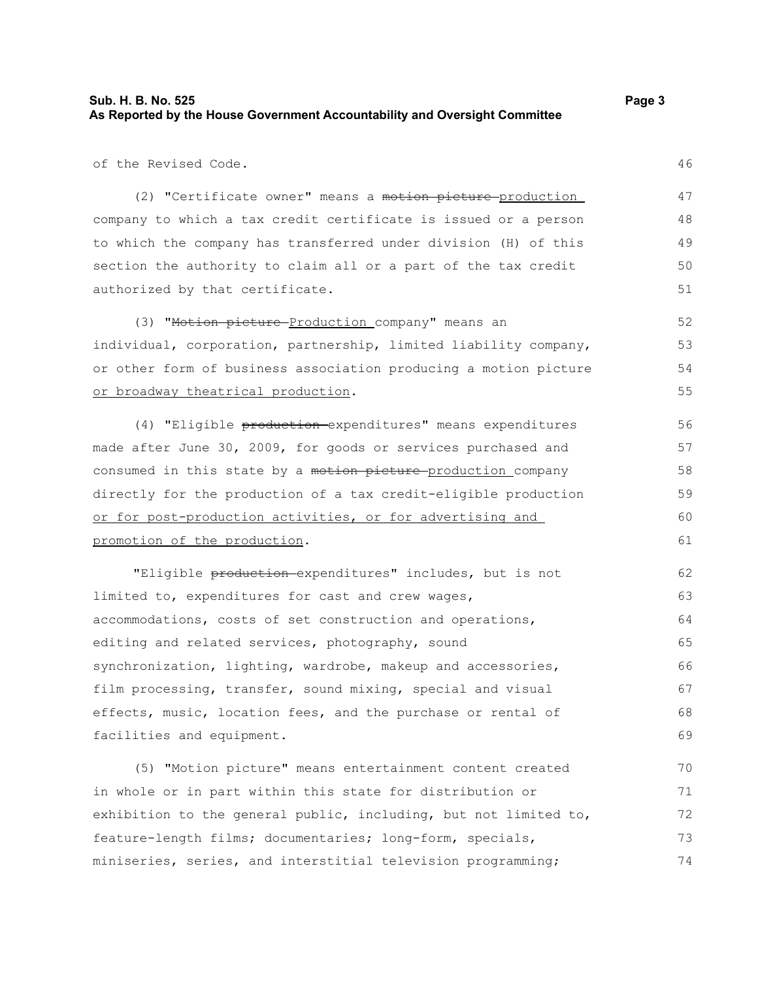### **Sub. H. B. No. 525 Page 3 As Reported by the House Government Accountability and Oversight Committee**

of the Revised Code.

(2) "Certificate owner" means a motion picture-production company to which a tax credit certificate is issued or a person to which the company has transferred under division (H) of this section the authority to claim all or a part of the tax credit authorized by that certificate.

(3) "Motion picture Production company" means an individual, corporation, partnership, limited liability company, or other form of business association producing a motion picture or broadway theatrical production. 52 53 54 55

(4) "Eligible production expenditures" means expenditures made after June 30, 2009, for goods or services purchased and consumed in this state by a motion picture-production company directly for the production of a tax credit-eligible production or for post-production activities, or for advertising and promotion of the production. 56 57 58 59 60 61

"Eligible production expenditures" includes, but is not limited to, expenditures for cast and crew wages, accommodations, costs of set construction and operations, editing and related services, photography, sound synchronization, lighting, wardrobe, makeup and accessories, film processing, transfer, sound mixing, special and visual effects, music, location fees, and the purchase or rental of facilities and equipment. 62 63 64 65 66 67 68 69

(5) "Motion picture" means entertainment content created in whole or in part within this state for distribution or exhibition to the general public, including, but not limited to, feature-length films; documentaries; long-form, specials, miniseries, series, and interstitial television programming; 70 71 72 73 74

46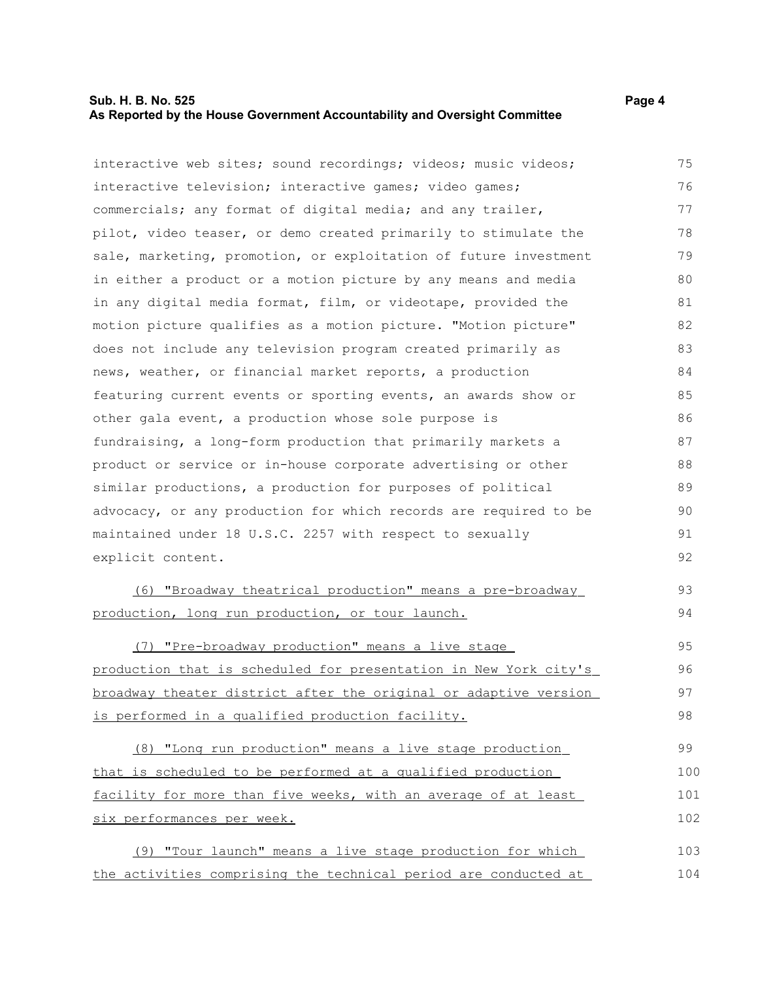### **Sub. H. B. No. 525 Page 4 As Reported by the House Government Accountability and Oversight Committee**

interactive web sites; sound recordings; videos; music videos; interactive television; interactive games; video games;

commercials; any format of digital media; and any trailer, pilot, video teaser, or demo created primarily to stimulate the sale, marketing, promotion, or exploitation of future investment in either a product or a motion picture by any means and media in any digital media format, film, or videotape, provided the motion picture qualifies as a motion picture. "Motion picture" does not include any television program created primarily as news, weather, or financial market reports, a production featuring current events or sporting events, an awards show or other gala event, a production whose sole purpose is fundraising, a long-form production that primarily markets a product or service or in-house corporate advertising or other similar productions, a production for purposes of political advocacy, or any production for which records are required to be maintained under 18 U.S.C. 2257 with respect to sexually explicit content. 77 78 79 80 81 82 83 84 85 86 87 88 89 90 91 92

 (6) "Broadway theatrical production" means a pre-broadway production, long run production, or tour launch.

 (7) "Pre-broadway production" means a live stage production that is scheduled for presentation in New York city's broadway theater district after the original or adaptive version is performed in a qualified production facility. 95 96 97 98

 (8) "Long run production" means a live stage production that is scheduled to be performed at a qualified production facility for more than five weeks, with an average of at least six performances per week. 99 100 101 102

(9) "Tour launch" means a live stage production for which the activities comprising the technical period are conducted at 103 104

75 76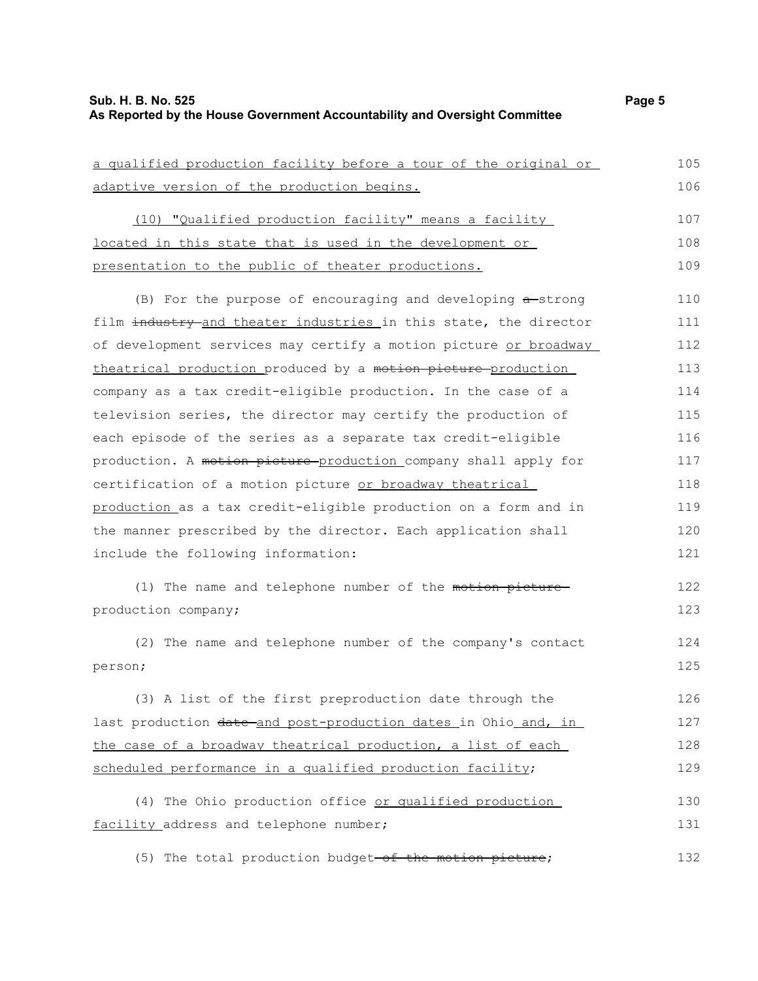| a qualified production facility before a tour of the original or | 105 |
|------------------------------------------------------------------|-----|
| adaptive version of the production begins.                       | 106 |
| (10) "Qualified production facility" means a facility            | 107 |
| located in this state that is used in the development or         | 108 |
| presentation to the public of theater productions.               | 109 |
| (B) For the purpose of encouraging and developing $a$ -strong    | 110 |
| film industry-and theater industries in this state, the director | 111 |
| of development services may certify a motion picture or broadway | 112 |
| theatrical production produced by a motion picture production    | 113 |
| company as a tax credit-eligible production. In the case of a    | 114 |
| television series, the director may certify the production of    | 115 |
| each episode of the series as a separate tax credit-eligible     | 116 |
| production. A motion picture production company shall apply for  | 117 |
| certification of a motion picture or broadway theatrical         | 118 |
| production as a tax credit-eligible production on a form and in  | 119 |
| the manner prescribed by the director. Each application shall    | 120 |
| include the following information:                               | 121 |
| (1) The name and telephone number of the motion picture-         | 122 |
| production company;                                              | 123 |
| (2) The name and telephone number of the company's contact       | 124 |
| person;                                                          | 125 |
| (3) A list of the first preproduction date through the           | 126 |
| last production date and post-production dates in Ohio and, in   | 127 |
| the case of a broadway theatrical production, a list of each     | 128 |
| scheduled performance in a qualified production facility;        | 129 |
| (4) The Ohio production office or qualified production           | 130 |
| facility address and telephone number;                           | 131 |
| (5) The total production budget-of the motion picture;           | 132 |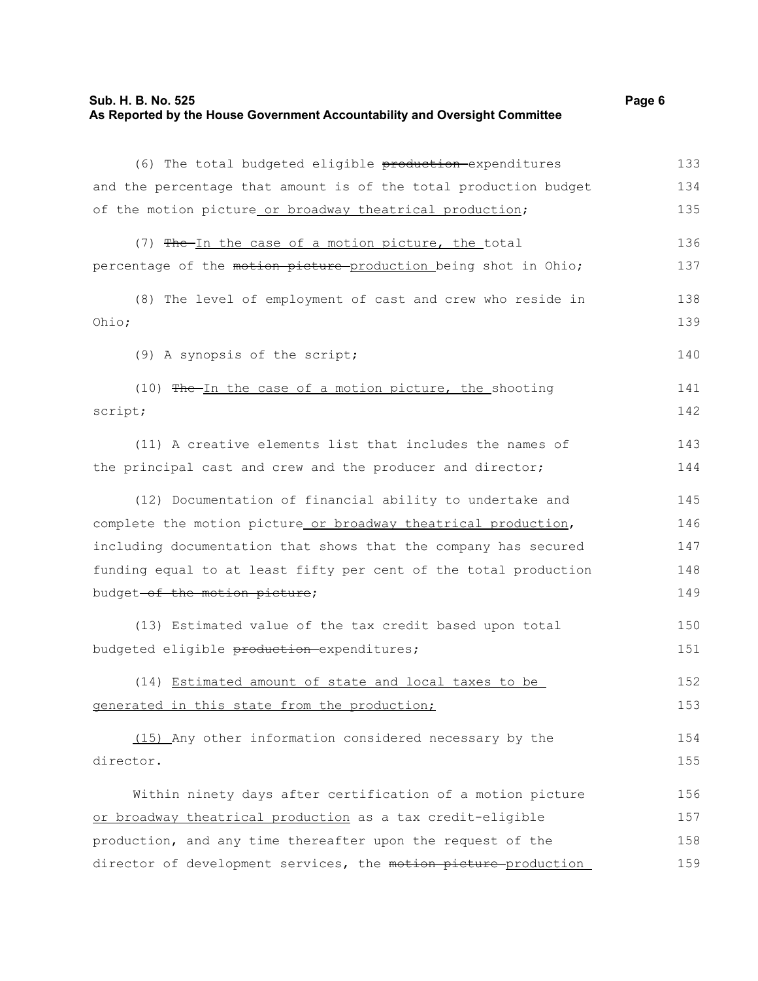### **Sub. H. B. No. 525 Page 6 As Reported by the House Government Accountability and Oversight Committee**

| (6) The total budgeted eligible production expenditures          | 133 |
|------------------------------------------------------------------|-----|
| and the percentage that amount is of the total production budget | 134 |
| of the motion picture or broadway theatrical production;         | 135 |
| (7) The-In the case of a motion picture, the total               | 136 |
| percentage of the motion picture-production being shot in Ohio;  | 137 |
| (8) The level of employment of cast and crew who reside in       | 138 |
| Ohio;                                                            | 139 |
| (9) A synopsis of the script;                                    | 140 |
| (10) The In the case of a motion picture, the shooting           | 141 |
| script;                                                          | 142 |
| (11) A creative elements list that includes the names of         | 143 |
| the principal cast and crew and the producer and director;       | 144 |
| (12) Documentation of financial ability to undertake and         | 145 |
| complete the motion picture or broadway theatrical production,   | 146 |
| including documentation that shows that the company has secured  | 147 |
| funding equal to at least fifty per cent of the total production | 148 |
| budget-of the motion picture;                                    | 149 |
| (13) Estimated value of the tax credit based upon total          | 150 |
| budgeted eligible production-expenditures;                       | 151 |
| (14) Estimated amount of state and local taxes to be             | 152 |
| generated in this state from the production;                     | 153 |
| (15) Any other information considered necessary by the           | 154 |
| director.                                                        | 155 |
| Within ninety days after certification of a motion picture       | 156 |
| or broadway theatrical production as a tax credit-eligible       | 157 |
| production, and any time thereafter upon the request of the      | 158 |
| director of development services, the motion picture-production  | 159 |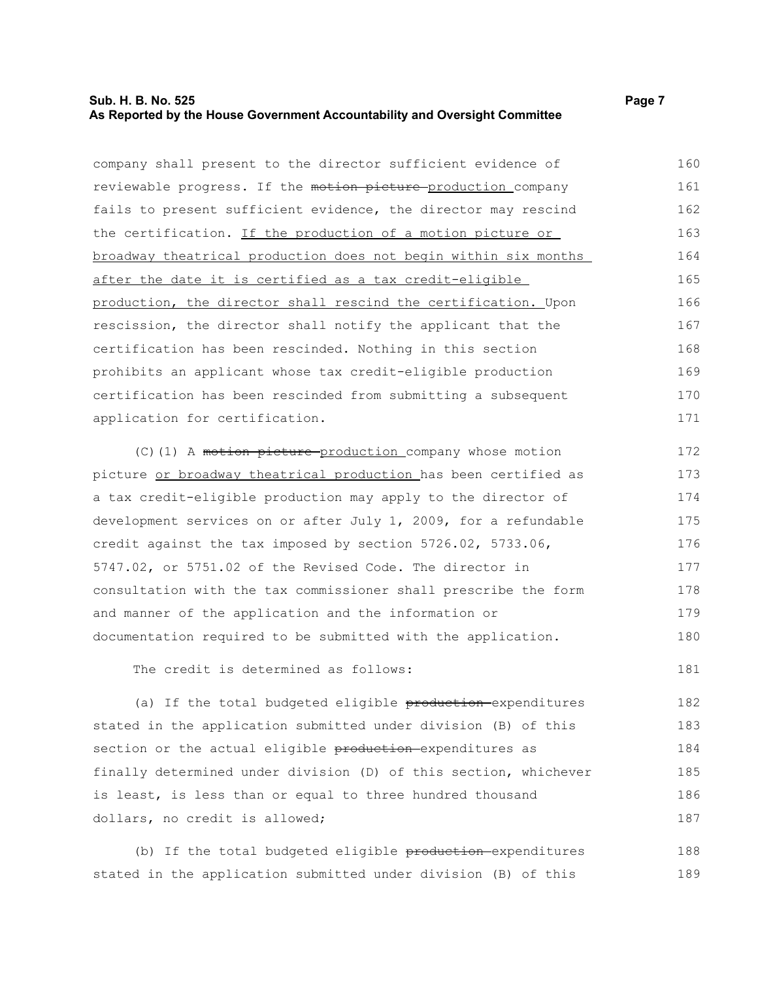### **Sub. H. B. No. 525 Page 7 As Reported by the House Government Accountability and Oversight Committee**

| company shall present to the director sufficient evidence of     | 160 |
|------------------------------------------------------------------|-----|
| reviewable progress. If the motion picture production company    | 161 |
| fails to present sufficient evidence, the director may rescind   | 162 |
| the certification. If the production of a motion picture or      | 163 |
| broadway theatrical production does not begin within six months  | 164 |
| after the date it is certified as a tax credit-eligible          | 165 |
| production, the director shall rescind the certification. Upon   | 166 |
| rescission, the director shall notify the applicant that the     | 167 |
| certification has been rescinded. Nothing in this section        | 168 |
| prohibits an applicant whose tax credit-eligible production      | 169 |
| certification has been rescinded from submitting a subsequent    | 170 |
| application for certification.                                   | 171 |
| (C) (1) A motion picture-production company whose motion         | 172 |
| picture or broadway theatrical production has been certified as  | 173 |
| a tax credit-eligible production may apply to the director of    | 174 |
| development services on or after July 1, 2009, for a refundable  | 175 |
| credit against the tax imposed by section 5726.02, 5733.06,      | 176 |
| 5747.02, or 5751.02 of the Revised Code. The director in         | 177 |
| consultation with the tax commissioner shall prescribe the form  | 178 |
| and manner of the application and the information or             | 179 |
| documentation required to be submitted with the application.     | 180 |
| The credit is determined as follows:                             | 181 |
| (a) If the total budgeted eligible production expenditures       | 182 |
| stated in the application submitted under division (B) of this   | 183 |
| section or the actual eligible production expenditures as        | 184 |
| finally determined under division (D) of this section, whichever | 185 |
| is least, is less than or equal to three hundred thousand        | 186 |
| dollars, no credit is allowed;                                   | 187 |
|                                                                  |     |

(b) If the total budgeted eligible production expenditures stated in the application submitted under division (B) of this 188 189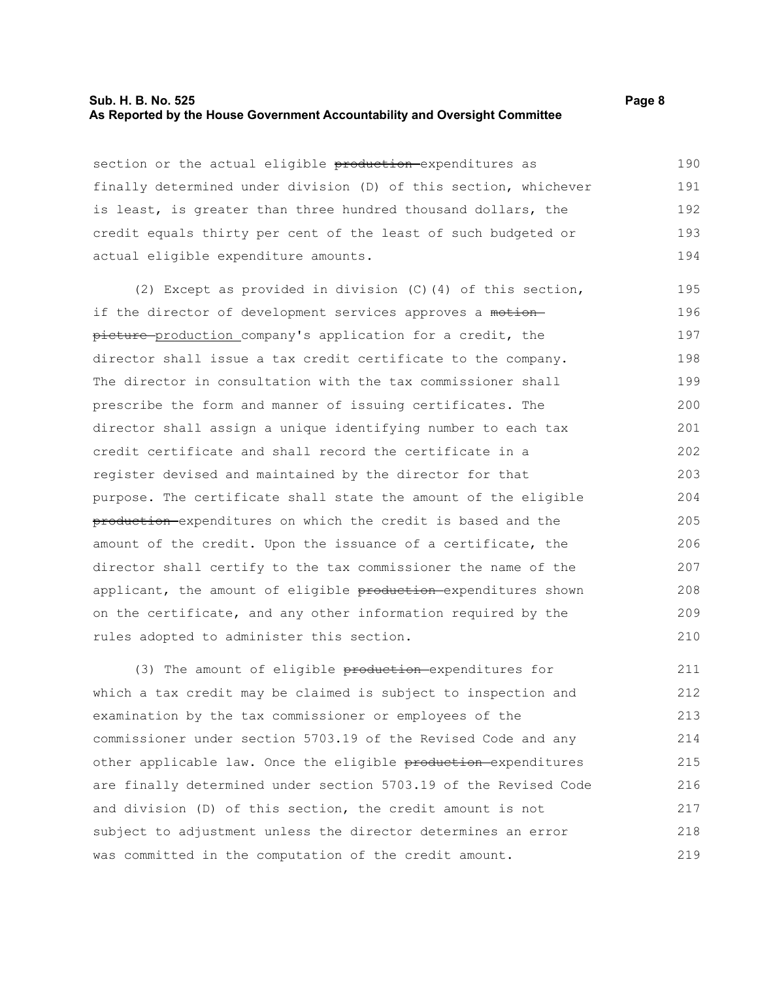#### **Sub. H. B. No. 525 Page 8 As Reported by the House Government Accountability and Oversight Committee**

section or the actual eligible production-expenditures as finally determined under division (D) of this section, whichever is least, is greater than three hundred thousand dollars, the credit equals thirty per cent of the least of such budgeted or actual eligible expenditure amounts. 190 191 192 193 194

(2) Except as provided in division (C)(4) of this section, if the director of development services approves a motion picture production company's application for a credit, the director shall issue a tax credit certificate to the company. The director in consultation with the tax commissioner shall prescribe the form and manner of issuing certificates. The director shall assign a unique identifying number to each tax credit certificate and shall record the certificate in a register devised and maintained by the director for that purpose. The certificate shall state the amount of the eligible production expenditures on which the credit is based and the amount of the credit. Upon the issuance of a certificate, the director shall certify to the tax commissioner the name of the applicant, the amount of eligible production-expenditures shown on the certificate, and any other information required by the rules adopted to administer this section. 195 196 197 198 199 200 201 202 203 204 205 206 207 208 209 210

(3) The amount of eligible production expenditures for which a tax credit may be claimed is subject to inspection and examination by the tax commissioner or employees of the commissioner under section 5703.19 of the Revised Code and any other applicable law. Once the eligible production expenditures are finally determined under section 5703.19 of the Revised Code and division (D) of this section, the credit amount is not subject to adjustment unless the director determines an error was committed in the computation of the credit amount. 211 212 213 214 215 216 217 218 219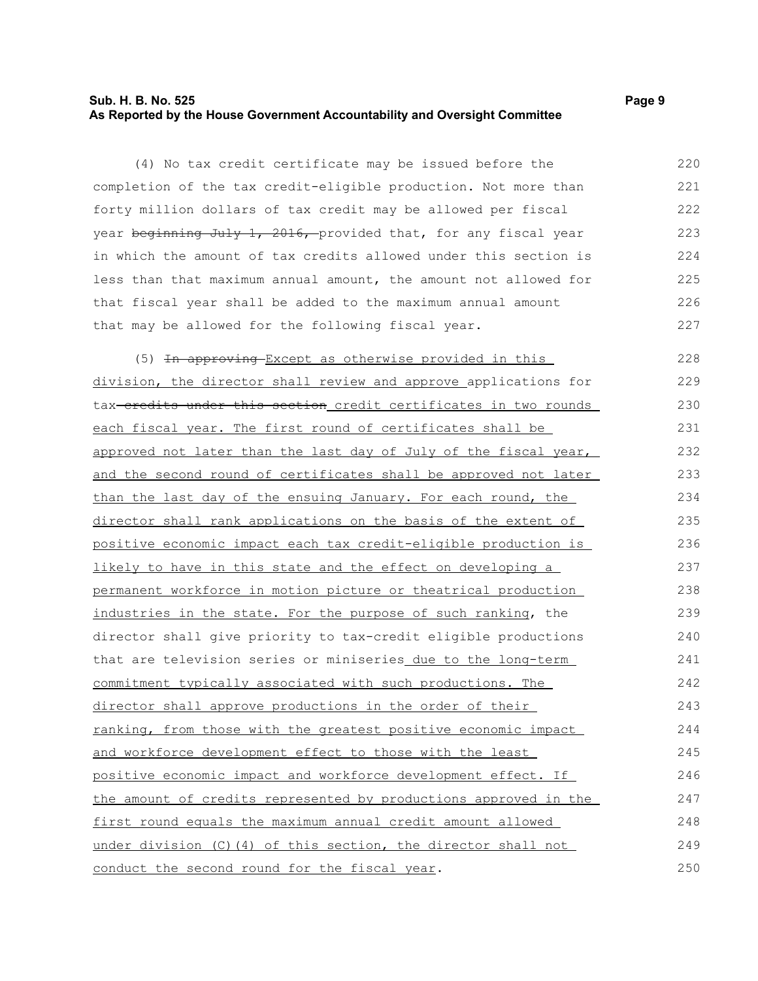### **Sub. H. B. No. 525 Page 9 As Reported by the House Government Accountability and Oversight Committee**

(4) No tax credit certificate may be issued before the completion of the tax credit-eligible production. Not more than forty million dollars of tax credit may be allowed per fiscal year beginning July 1, 2016, provided that, for any fiscal year in which the amount of tax credits allowed under this section is less than that maximum annual amount, the amount not allowed for that fiscal year shall be added to the maximum annual amount that may be allowed for the following fiscal year. 220 221 222 223 224 225 226 227

(5) In approving Except as otherwise provided in this division, the director shall review and approve applications for tax-eredits under this section credit certificates in two rounds each fiscal year. The first round of certificates shall be approved not later than the last day of July of the fiscal year, and the second round of certificates shall be approved not later than the last day of the ensuing January. For each round, the director shall rank applications on the basis of the extent of positive economic impact each tax credit-eligible production is likely to have in this state and the effect on developing a permanent workforce in motion picture or theatrical production industries in the state. For the purpose of such ranking, the director shall give priority to tax-credit eligible productions that are television series or miniseries due to the long-term commitment typically associated with such productions. The director shall approve productions in the order of their ranking, from those with the greatest positive economic impact and workforce development effect to those with the least positive economic impact and workforce development effect. If the amount of credits represented by productions approved in the first round equals the maximum annual credit amount allowed under division (C)(4) of this section, the director shall not conduct the second round for the fiscal year. 228 229 230 231 232 233 234 235 236 237 238 239 240 241 242 243 244 245 246 247 248 249 250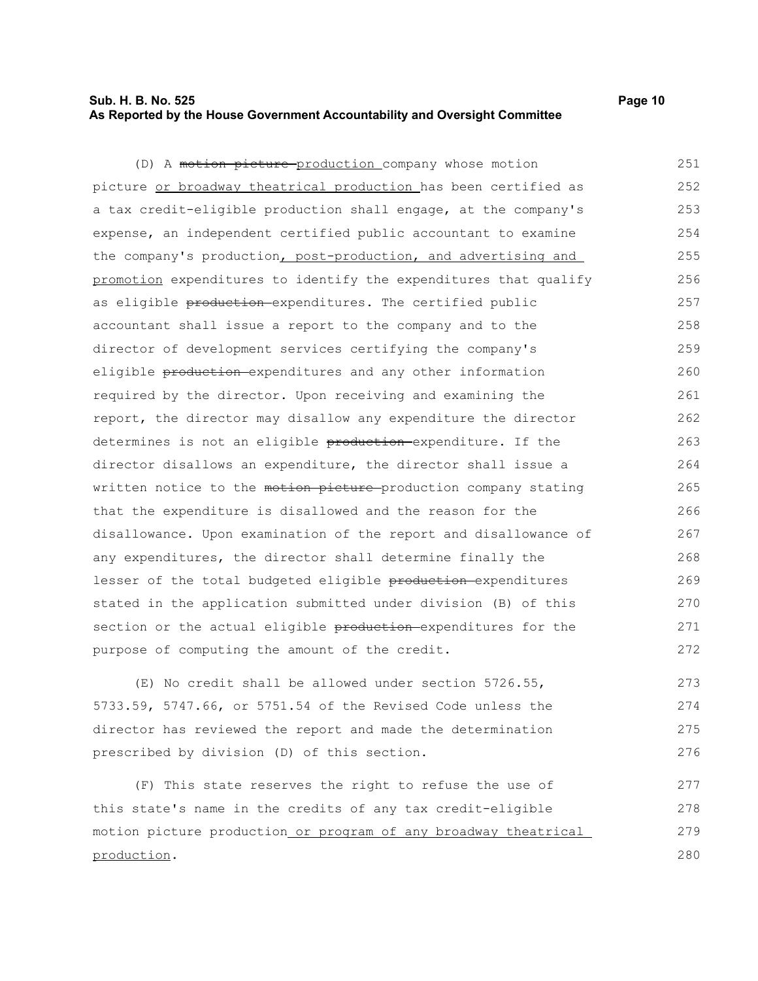### **Sub. H. B. No. 525 Page 10 As Reported by the House Government Accountability and Oversight Committee**

(D) A motion picture production company whose motion picture or broadway theatrical production has been certified as a tax credit-eligible production shall engage, at the company's expense, an independent certified public accountant to examine the company's production, post-production, and advertising and promotion expenditures to identify the expenditures that qualify as eligible production-expenditures. The certified public accountant shall issue a report to the company and to the director of development services certifying the company's eligible production expenditures and any other information required by the director. Upon receiving and examining the report, the director may disallow any expenditure the director determines is not an eligible production expenditure. If the director disallows an expenditure, the director shall issue a written notice to the motion picture production company stating that the expenditure is disallowed and the reason for the disallowance. Upon examination of the report and disallowance of any expenditures, the director shall determine finally the lesser of the total budgeted eligible production expenditures 251 252 253 254 255 256 257 258 259 260 261 262 263 264 265 266 267 268 269

stated in the application submitted under division (B) of this section or the actual eligible production expenditures for the purpose of computing the amount of the credit. 270 271 272

(E) No credit shall be allowed under section 5726.55, 5733.59, 5747.66, or 5751.54 of the Revised Code unless the director has reviewed the report and made the determination prescribed by division (D) of this section. 273 274 275 276

(F) This state reserves the right to refuse the use of this state's name in the credits of any tax credit-eligible motion picture production or program of any broadway theatrical production. 277 278 279 280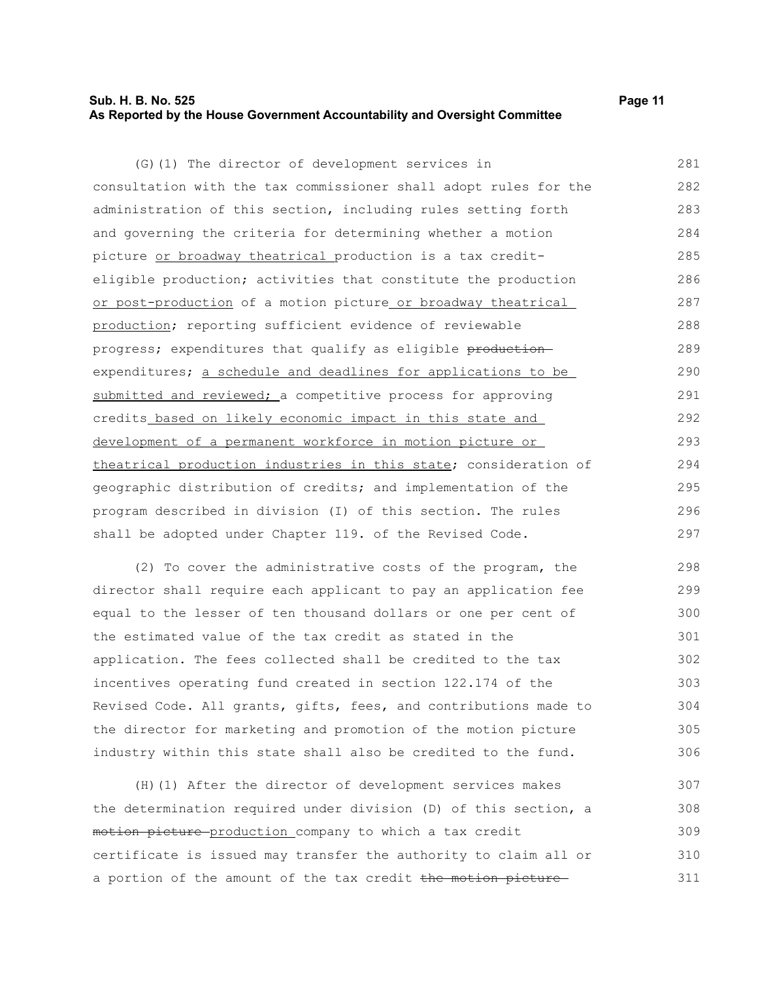#### **Sub. H. B. No. 525 Page 11 As Reported by the House Government Accountability and Oversight Committee**

(G)(1) The director of development services in consultation with the tax commissioner shall adopt rules for the administration of this section, including rules setting forth and governing the criteria for determining whether a motion picture or broadway theatrical production is a tax crediteligible production; activities that constitute the production or post-production of a motion picture or broadway theatrical production; reporting sufficient evidence of reviewable progress; expenditures that qualify as eligible productionexpenditures; a schedule and deadlines for applications to be submitted and reviewed; a competitive process for approving credits based on likely economic impact in this state and development of a permanent workforce in motion picture or theatrical production industries in this state; consideration of geographic distribution of credits; and implementation of the program described in division (I) of this section. The rules shall be adopted under Chapter 119. of the Revised Code. 281 282 283 284 285 286 287 288 289 290 291 292 293 294 295 296 297

(2) To cover the administrative costs of the program, the director shall require each applicant to pay an application fee equal to the lesser of ten thousand dollars or one per cent of the estimated value of the tax credit as stated in the application. The fees collected shall be credited to the tax incentives operating fund created in section 122.174 of the Revised Code. All grants, gifts, fees, and contributions made to the director for marketing and promotion of the motion picture industry within this state shall also be credited to the fund. 298 299 300 301 302 303 304 305 306

(H)(1) After the director of development services makes the determination required under division (D) of this section, a motion picture production company to which a tax credit certificate is issued may transfer the authority to claim all or a portion of the amount of the tax credit the motion picture 307 308 309 310 311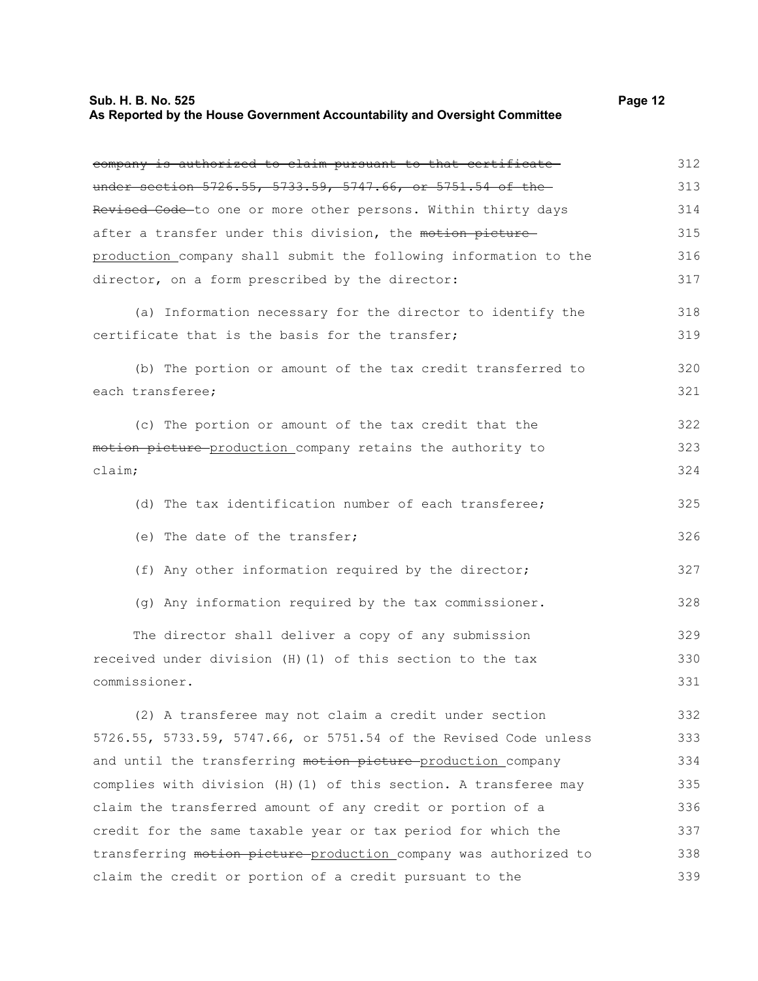### **Sub. H. B. No. 525 Page 12 As Reported by the House Government Accountability and Oversight Committee**

| company is authorized to claim pursuant to that certificate      | 312 |
|------------------------------------------------------------------|-----|
| under section 5726.55, 5733.59, 5747.66, or 5751.54 of the       | 313 |
| Revised Code-to one or more other persons. Within thirty days    | 314 |
| after a transfer under this division, the motion picture-        | 315 |
| production company shall submit the following information to the | 316 |
| director, on a form prescribed by the director:                  | 317 |
| (a) Information necessary for the director to identify the       | 318 |
| certificate that is the basis for the transfer;                  | 319 |
|                                                                  |     |
| (b) The portion or amount of the tax credit transferred to       | 320 |
| each transferee;                                                 | 321 |
| (c) The portion or amount of the tax credit that the             | 322 |
| motion picture production company retains the authority to       | 323 |
| $\text{claim:}$                                                  | 324 |
|                                                                  |     |
| (d) The tax identification number of each transferee;            | 325 |
| (e) The date of the transfer;                                    | 326 |
| (f) Any other information required by the director;              | 327 |
| (g) Any information required by the tax commissioner.            | 328 |
| The director shall deliver a copy of any submission              | 329 |
| received under division (H) (1) of this section to the tax       | 330 |
| commissioner.                                                    | 331 |
| (2) A transferee may not claim a credit under section            | 332 |
| 5726.55, 5733.59, 5747.66, or 5751.54 of the Revised Code unless | 333 |
| and until the transferring motion picture production company     | 334 |
| complies with division (H)(1) of this section. A transferee may  | 335 |
| claim the transferred amount of any credit or portion of a       | 336 |
| credit for the same taxable year or tax period for which the     | 337 |
| transferring motion picture-production company was authorized to | 338 |
| claim the credit or portion of a credit pursuant to the          | 339 |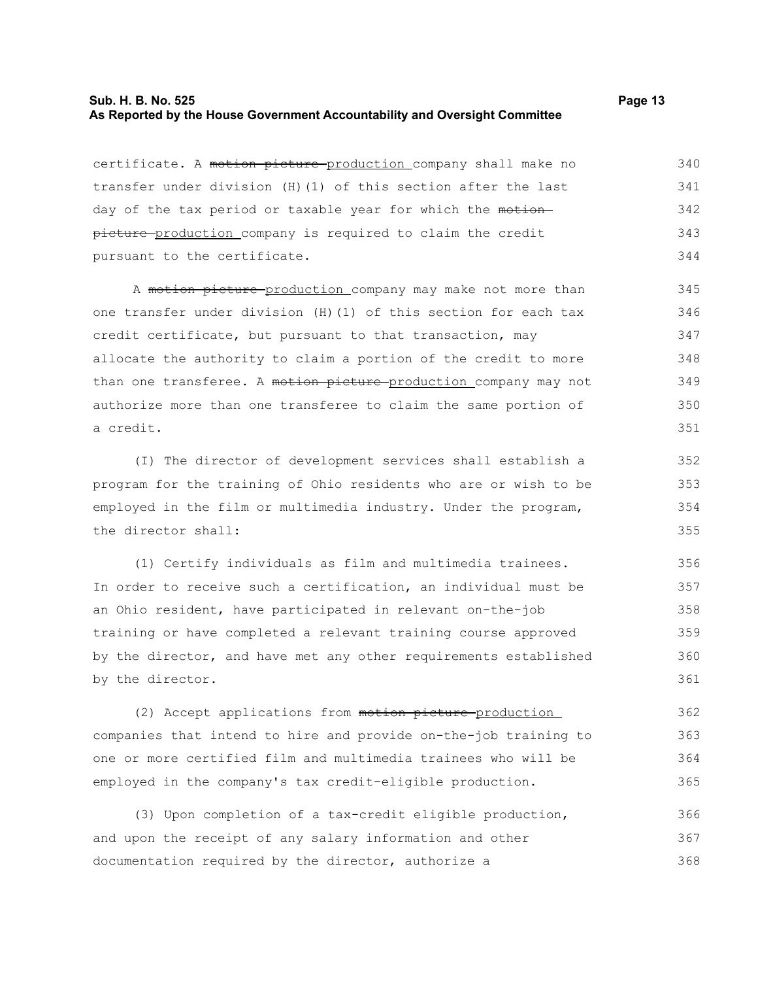### **Sub. H. B. No. 525 Page 13 As Reported by the House Government Accountability and Oversight Committee**

certificate. A motion picture production company shall make no transfer under division (H)(1) of this section after the last day of the tax period or taxable year for which the motionpicture production company is required to claim the credit pursuant to the certificate. 340 341 342 343 344

A motion picture production company may make not more than one transfer under division (H)(1) of this section for each tax credit certificate, but pursuant to that transaction, may allocate the authority to claim a portion of the credit to more than one transferee. A motion picture production company may not authorize more than one transferee to claim the same portion of a credit.

(I) The director of development services shall establish a program for the training of Ohio residents who are or wish to be employed in the film or multimedia industry. Under the program, the director shall:

(1) Certify individuals as film and multimedia trainees. In order to receive such a certification, an individual must be an Ohio resident, have participated in relevant on-the-job training or have completed a relevant training course approved by the director, and have met any other requirements established by the director. 356 357 358 359 360 361

(2) Accept applications from motion picture production companies that intend to hire and provide on-the-job training to one or more certified film and multimedia trainees who will be employed in the company's tax credit-eligible production. 362 363 364 365

(3) Upon completion of a tax-credit eligible production, and upon the receipt of any salary information and other documentation required by the director, authorize a 366 367 368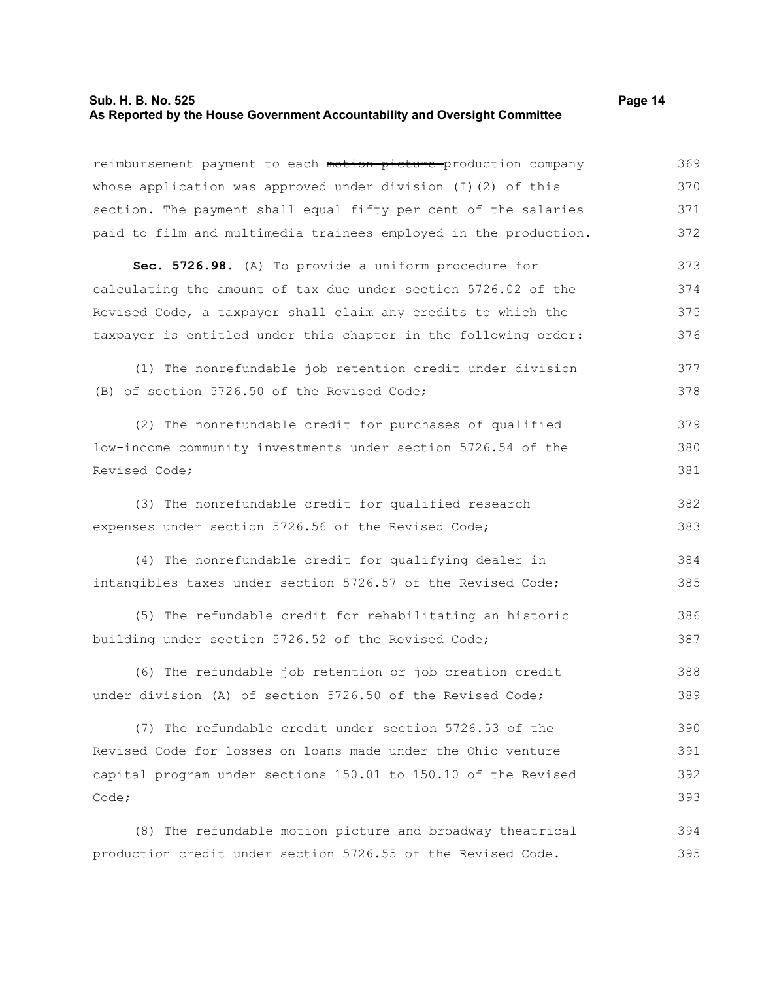### **Sub. H. B. No. 525 Page 14 As Reported by the House Government Accountability and Oversight Committee**

reimbursement payment to each motion picture production company whose application was approved under division (I)(2) of this section. The payment shall equal fifty per cent of the salaries paid to film and multimedia trainees employed in the production. 369 370 371 372

**Sec. 5726.98.** (A) To provide a uniform procedure for calculating the amount of tax due under section 5726.02 of the Revised Code, a taxpayer shall claim any credits to which the taxpayer is entitled under this chapter in the following order: 373 374 375 376

(1) The nonrefundable job retention credit under division (B) of section 5726.50 of the Revised Code; 377 378

(2) The nonrefundable credit for purchases of qualified low-income community investments under section 5726.54 of the Revised Code; 379 380 381

(3) The nonrefundable credit for qualified research expenses under section 5726.56 of the Revised Code; 382 383

(4) The nonrefundable credit for qualifying dealer in intangibles taxes under section 5726.57 of the Revised Code; 384 385

(5) The refundable credit for rehabilitating an historic building under section 5726.52 of the Revised Code; 386 387

(6) The refundable job retention or job creation credit under division (A) of section 5726.50 of the Revised Code; 388 389

(7) The refundable credit under section 5726.53 of the Revised Code for losses on loans made under the Ohio venture capital program under sections 150.01 to 150.10 of the Revised Code; 390 391 392 393

(8) The refundable motion picture and broadway theatrical production credit under section 5726.55 of the Revised Code. 394 395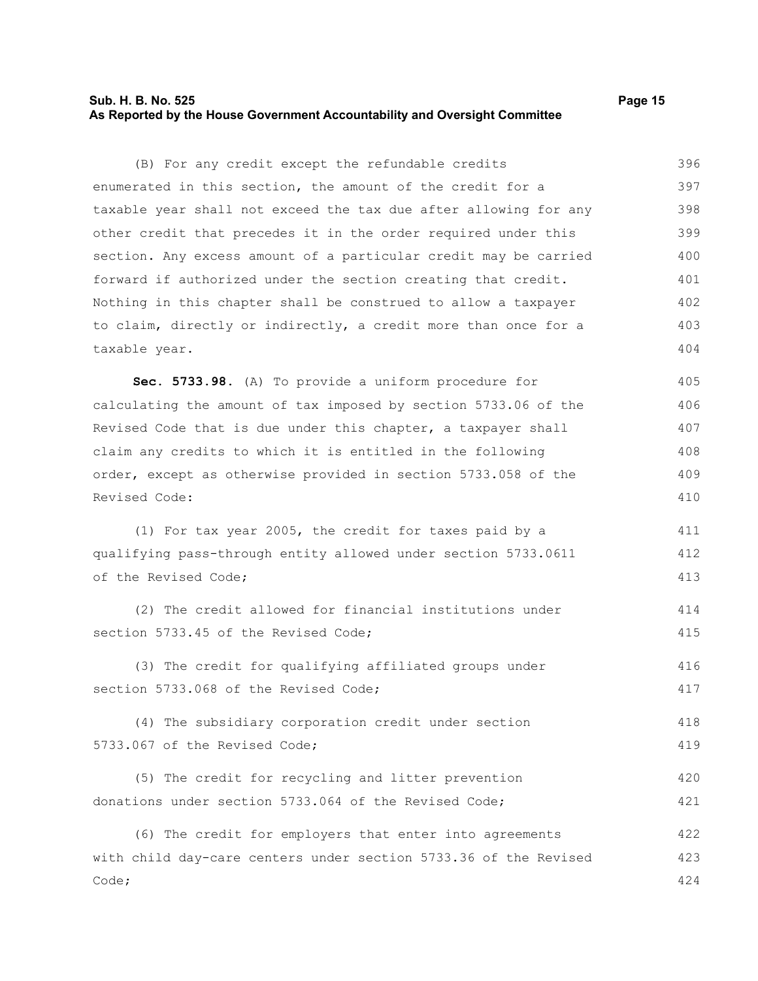#### **Sub. H. B. No. 525 Page 15 As Reported by the House Government Accountability and Oversight Committee**

(B) For any credit except the refundable credits enumerated in this section, the amount of the credit for a taxable year shall not exceed the tax due after allowing for any other credit that precedes it in the order required under this section. Any excess amount of a particular credit may be carried forward if authorized under the section creating that credit. Nothing in this chapter shall be construed to allow a taxpayer to claim, directly or indirectly, a credit more than once for a taxable year. 396 397 398 399 400 401 402 403 404

**Sec. 5733.98.** (A) To provide a uniform procedure for calculating the amount of tax imposed by section 5733.06 of the Revised Code that is due under this chapter, a taxpayer shall claim any credits to which it is entitled in the following order, except as otherwise provided in section 5733.058 of the Revised Code: 405 406 407 408 409 410

(1) For tax year 2005, the credit for taxes paid by a qualifying pass-through entity allowed under section 5733.0611 of the Revised Code; 411 412 413

(2) The credit allowed for financial institutions under section 5733.45 of the Revised Code; 414 415

(3) The credit for qualifying affiliated groups under section 5733.068 of the Revised Code; 416 417

(4) The subsidiary corporation credit under section 5733.067 of the Revised Code; 418 419

(5) The credit for recycling and litter prevention donations under section 5733.064 of the Revised Code; 420 421

(6) The credit for employers that enter into agreements with child day-care centers under section 5733.36 of the Revised Code; 422 423 424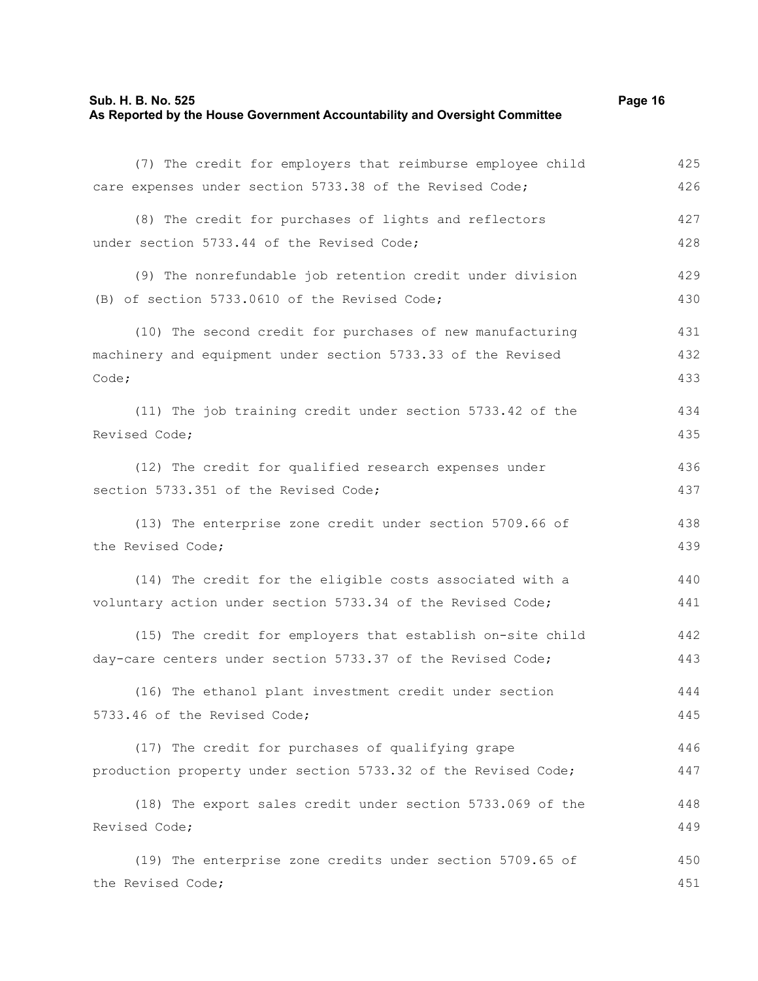### **Sub. H. B. No. 525 Page 16 As Reported by the House Government Accountability and Oversight Committee**

| (7) The credit for employers that reimburse employee child     | 425 |
|----------------------------------------------------------------|-----|
| care expenses under section 5733.38 of the Revised Code;       | 426 |
| (8) The credit for purchases of lights and reflectors          | 427 |
| under section 5733.44 of the Revised Code;                     | 428 |
| (9) The nonrefundable job retention credit under division      | 429 |
| (B) of section 5733.0610 of the Revised Code;                  | 430 |
| (10) The second credit for purchases of new manufacturing      | 431 |
| machinery and equipment under section 5733.33 of the Revised   | 432 |
| Code;                                                          | 433 |
| (11) The job training credit under section 5733.42 of the      | 434 |
| Revised Code;                                                  | 435 |
| (12) The credit for qualified research expenses under          | 436 |
| section 5733.351 of the Revised Code;                          | 437 |
| (13) The enterprise zone credit under section 5709.66 of       | 438 |
| the Revised Code;                                              | 439 |
| (14) The credit for the eligible costs associated with a       | 440 |
| voluntary action under section 5733.34 of the Revised Code;    | 441 |
| (15) The credit for employers that establish on-site child     | 442 |
| day-care centers under section 5733.37 of the Revised Code;    | 443 |
| (16) The ethanol plant investment credit under section         | 444 |
| 5733.46 of the Revised Code;                                   | 445 |
| (17) The credit for purchases of qualifying grape              | 446 |
| production property under section 5733.32 of the Revised Code; | 447 |
| (18) The export sales credit under section 5733.069 of the     | 448 |
| Revised Code;                                                  | 449 |
| (19) The enterprise zone credits under section 5709.65 of      | 450 |
| the Revised Code;                                              | 451 |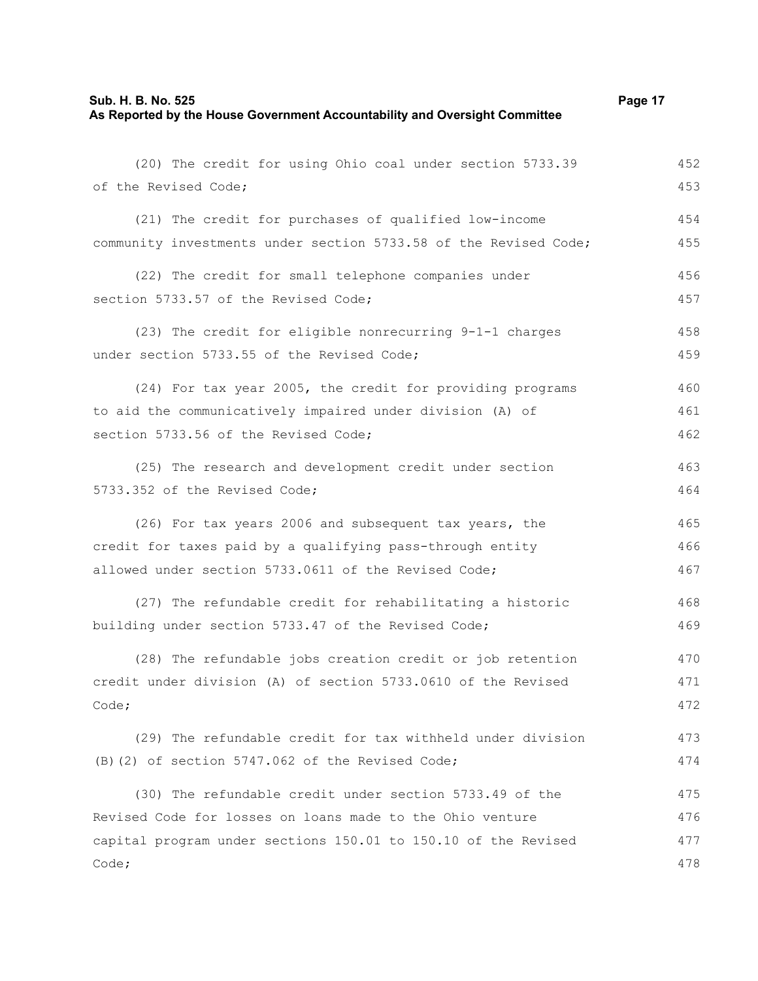### **Sub. H. B. No. 525 Page 17 As Reported by the House Government Accountability and Oversight Committee**

| (20) The credit for using Ohio coal under section 5733.39        | 452 |
|------------------------------------------------------------------|-----|
| of the Revised Code;                                             | 453 |
| (21) The credit for purchases of qualified low-income            | 454 |
| community investments under section 5733.58 of the Revised Code; | 455 |
| (22) The credit for small telephone companies under              | 456 |
| section 5733.57 of the Revised Code;                             | 457 |
| (23) The credit for eligible nonrecurring 9-1-1 charges          | 458 |
| under section 5733.55 of the Revised Code;                       | 459 |
| (24) For tax year 2005, the credit for providing programs        | 460 |
| to aid the communicatively impaired under division (A) of        | 461 |
| section 5733.56 of the Revised Code;                             | 462 |
| (25) The research and development credit under section           | 463 |
| 5733.352 of the Revised Code;                                    | 464 |
| (26) For tax years 2006 and subsequent tax years, the            | 465 |
| credit for taxes paid by a qualifying pass-through entity        | 466 |
| allowed under section 5733.0611 of the Revised Code;             | 467 |
| (27) The refundable credit for rehabilitating a historic         | 468 |
| building under section 5733.47 of the Revised Code;              | 469 |
| (28) The refundable jobs creation credit or job retention        | 470 |
| credit under division (A) of section 5733.0610 of the Revised    | 471 |
| Code;                                                            | 472 |
| (29) The refundable credit for tax withheld under division       | 473 |
| (B) (2) of section 5747.062 of the Revised Code;                 | 474 |
| (30) The refundable credit under section 5733.49 of the          | 475 |
| Revised Code for losses on loans made to the Ohio venture        | 476 |
| capital program under sections 150.01 to 150.10 of the Revised   | 477 |
| Code;                                                            | 478 |
|                                                                  |     |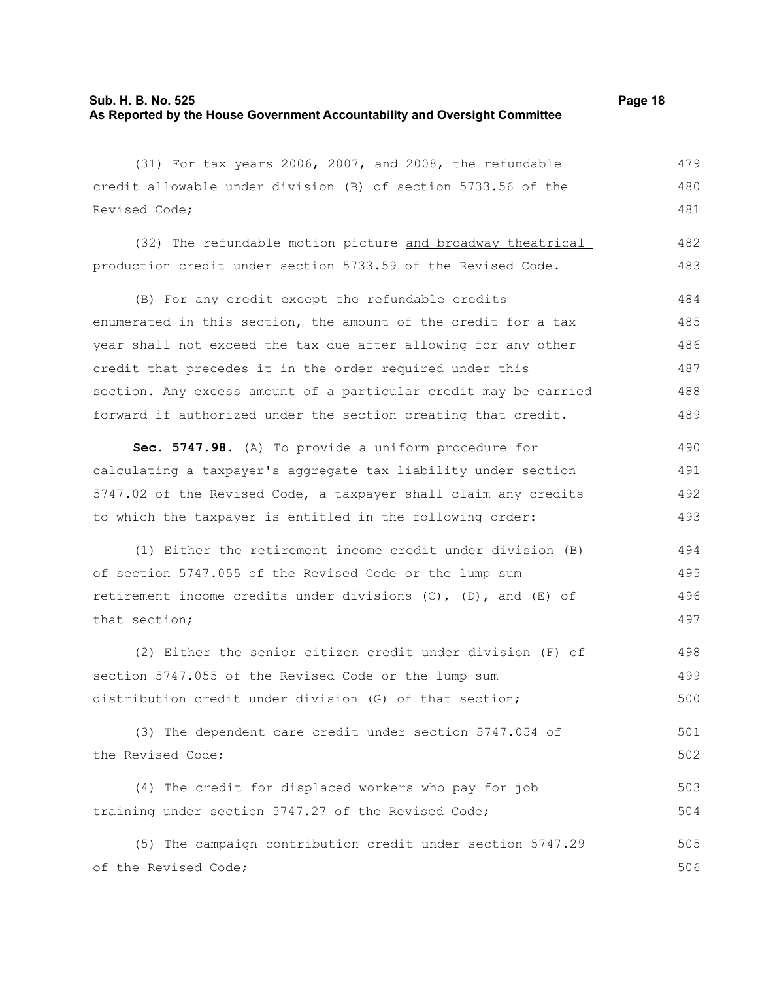(31) For tax years 2006, 2007, and 2008, the refundable credit allowable under division (B) of section 5733.56 of the 479 480

Revised Code;

(32) The refundable motion picture and broadway theatrical production credit under section 5733.59 of the Revised Code. 482 483

(B) For any credit except the refundable credits enumerated in this section, the amount of the credit for a tax year shall not exceed the tax due after allowing for any other credit that precedes it in the order required under this section. Any excess amount of a particular credit may be carried forward if authorized under the section creating that credit. 484 485 486 487 488 489

**Sec. 5747.98.** (A) To provide a uniform procedure for calculating a taxpayer's aggregate tax liability under section 5747.02 of the Revised Code, a taxpayer shall claim any credits to which the taxpayer is entitled in the following order: 490 491 492 493

(1) Either the retirement income credit under division (B) of section 5747.055 of the Revised Code or the lump sum retirement income credits under divisions  $(C)$ ,  $(D)$ , and  $(E)$  of that section; 494 495 496 497

(2) Either the senior citizen credit under division (F) of section 5747.055 of the Revised Code or the lump sum distribution credit under division (G) of that section; 498 499 500

(3) The dependent care credit under section 5747.054 of the Revised Code; 501 502

(4) The credit for displaced workers who pay for job training under section 5747.27 of the Revised Code; 503 504

(5) The campaign contribution credit under section 5747.29 of the Revised Code; 505 506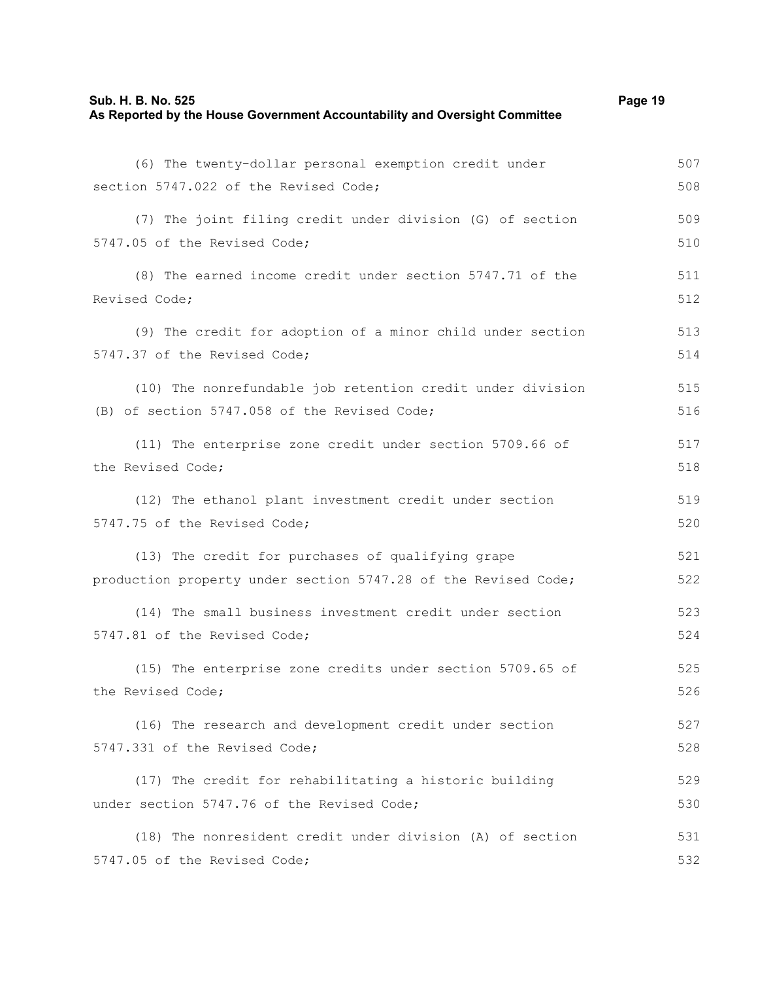### **Sub. H. B. No. 525 Page 19 As Reported by the House Government Accountability and Oversight Committee**

| (6) The twenty-dollar personal exemption credit under          | 507 |
|----------------------------------------------------------------|-----|
| section 5747.022 of the Revised Code;                          | 508 |
| (7) The joint filing credit under division (G) of section      | 509 |
| 5747.05 of the Revised Code;                                   | 510 |
| (8) The earned income credit under section 5747.71 of the      | 511 |
| Revised Code;                                                  | 512 |
| (9) The credit for adoption of a minor child under section     | 513 |
| 5747.37 of the Revised Code;                                   | 514 |
| (10) The nonrefundable job retention credit under division     | 515 |
| (B) of section 5747.058 of the Revised Code;                   | 516 |
| (11) The enterprise zone credit under section 5709.66 of       | 517 |
| the Revised Code;                                              | 518 |
| (12) The ethanol plant investment credit under section         | 519 |
| 5747.75 of the Revised Code;                                   | 520 |
| (13) The credit for purchases of qualifying grape              | 521 |
| production property under section 5747.28 of the Revised Code; | 522 |
| (14) The small business investment credit under section        | 523 |
| 5747.81 of the Revised Code;                                   | 524 |
| (15) The enterprise zone credits under section 5709.65 of      | 525 |
| the Revised Code;                                              | 526 |
| (16) The research and development credit under section         | 527 |
| 5747.331 of the Revised Code;                                  | 528 |
| (17) The credit for rehabilitating a historic building         | 529 |
| under section 5747.76 of the Revised Code;                     | 530 |
| (18) The nonresident credit under division (A) of section      | 531 |
| 5747.05 of the Revised Code;                                   | 532 |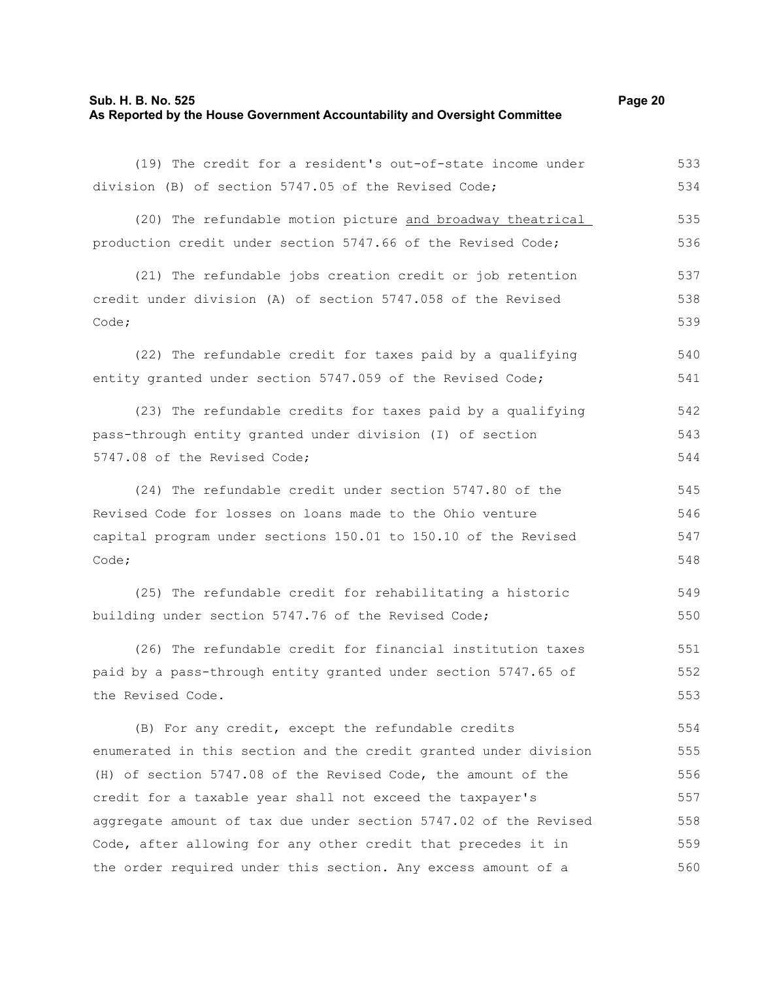### **Sub. H. B. No. 525 Page 20 As Reported by the House Government Accountability and Oversight Committee**

(19) The credit for a resident's out-of-state income under division (B) of section 5747.05 of the Revised Code; (20) The refundable motion picture and broadway theatrical production credit under section 5747.66 of the Revised Code; (21) The refundable jobs creation credit or job retention credit under division (A) of section 5747.058 of the Revised Code; (22) The refundable credit for taxes paid by a qualifying entity granted under section 5747.059 of the Revised Code; (23) The refundable credits for taxes paid by a qualifying pass-through entity granted under division (I) of section 5747.08 of the Revised Code; (24) The refundable credit under section 5747.80 of the Revised Code for losses on loans made to the Ohio venture capital program under sections 150.01 to 150.10 of the Revised Code; (25) The refundable credit for rehabilitating a historic building under section 5747.76 of the Revised Code; (26) The refundable credit for financial institution taxes paid by a pass-through entity granted under section 5747.65 of the Revised Code. (B) For any credit, except the refundable credits enumerated in this section and the credit granted under division (H) of section 5747.08 of the Revised Code, the amount of the credit for a taxable year shall not exceed the taxpayer's 533 534 535 536 537 538 539 540 541 542 543 544 545 546 547 548 549 550 551 552 553 554 555 556 557

Code, after allowing for any other credit that precedes it in the order required under this section. Any excess amount of a 559 560

aggregate amount of tax due under section 5747.02 of the Revised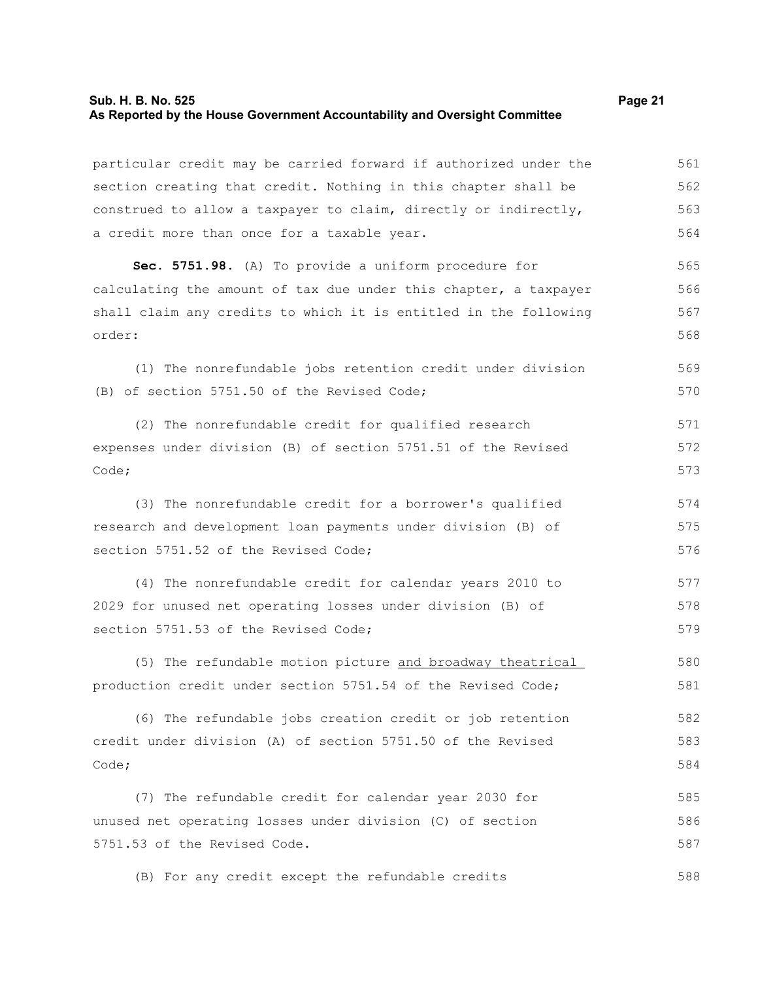### **Sub. H. B. No. 525 Page 21 As Reported by the House Government Accountability and Oversight Committee**

particular credit may be carried forward if authorized under the section creating that credit. Nothing in this chapter shall be construed to allow a taxpayer to claim, directly or indirectly, a credit more than once for a taxable year. 561 562 563 564

**Sec. 5751.98.** (A) To provide a uniform procedure for calculating the amount of tax due under this chapter, a taxpayer shall claim any credits to which it is entitled in the following order: 565 566 567 568

(1) The nonrefundable jobs retention credit under division (B) of section 5751.50 of the Revised Code; 569 570

(2) The nonrefundable credit for qualified research expenses under division (B) of section 5751.51 of the Revised Code; 571 572 573

(3) The nonrefundable credit for a borrower's qualified research and development loan payments under division (B) of section 5751.52 of the Revised Code; 574 575 576

(4) The nonrefundable credit for calendar years 2010 to 2029 for unused net operating losses under division (B) of section 5751.53 of the Revised Code; 577 578 579

(5) The refundable motion picture and broadway theatrical production credit under section 5751.54 of the Revised Code; 580 581

(6) The refundable jobs creation credit or job retention credit under division (A) of section 5751.50 of the Revised Code; 582 583 584

(7) The refundable credit for calendar year 2030 for unused net operating losses under division (C) of section 5751.53 of the Revised Code. 585 586 587

(B) For any credit except the refundable credits 588